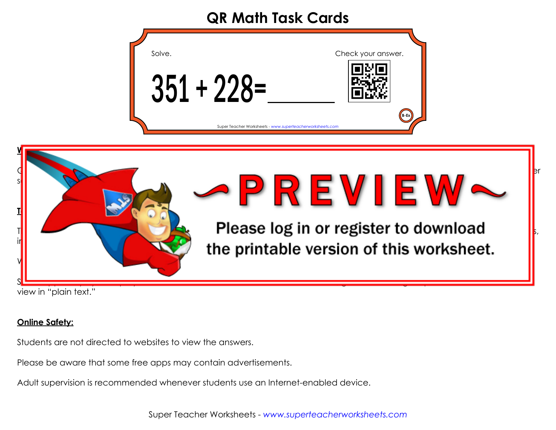#### **QR Math Task Cards**

| Solve.                                                    | Check your answer. |
|-----------------------------------------------------------|--------------------|
| $351 + 228 =$                                             |                    |
| Super Teacher Worksheets - www.superteacherworksheets.com | <b>B</b> -Ex       |



view in "plain text."

#### **Online Safety:**

Students are not directed to websites to view the answers.

Please be aware that some free apps may contain advertisements.

Adult supervision is recommended whenever students use an Internet-enabled device.

Super Teacher Worksheets - *www.superteacherworksheets.com*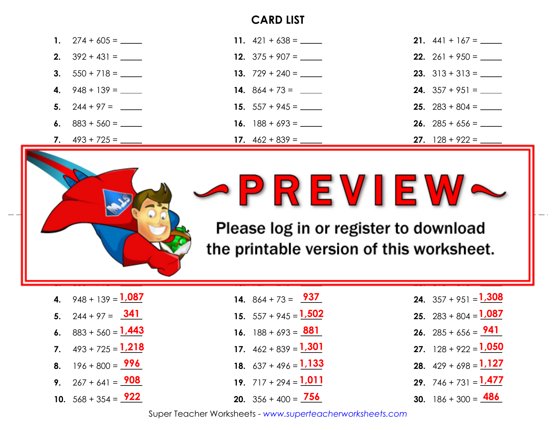#### **CARD LIST**

| 1. $274 + 605 =$ ________ | 11. $421 + 638 =$ ________        | <b>21.</b> $441 + 167 =$ ________ |
|---------------------------|-----------------------------------|-----------------------------------|
| <b>2.</b> $392 + 431 =$   | <b>12.</b> $375 + 907 =$ ________ | <b>22.</b> $261 + 950 =$ _______  |
| 3. $550 + 718 =$ _______  |                                   |                                   |
|                           | <b>14.</b> $864 + 73 =$ _______   | <b>24.</b> $357 + 951 =$ ________ |
| 5. $244 + 97 =$           | 15. $557 + 945 =$ ________        | <b>25.</b> $283 + 804 =$ ________ |
|                           | <b>16.</b> $188 + 693 =$ _______  | <b>26.</b> $285 + 656 =$ ________ |
|                           |                                   | <b>27.</b> $128 + 922 =$ _______  |





**printable version of this worksheet. Please log in or register to download** 

**969**

| 4.  | $948 + 139 = 1.087$ |
|-----|---------------------|
| 5.  | $244 + 97 = 341$    |
| 6.  | $883 + 560 = 1.443$ |
| 7.  | $493 + 725 = 1.218$ |
| 8.  | $196 + 800 = 996$   |
| 9.  | $267 + 641 = 908$   |
| 10. | $568 + 354 = 922$   |

| <b>14.</b> $864 + 73 = 937$    |
|--------------------------------|
| <b>15.</b> $557 + 945 = 1,502$ |
| <b>16.</b> $188 + 693 = 881$   |
| <b>17.</b> $462 + 839 = 1,301$ |
| <b>18.</b> $637 + 496 = 1,133$ |
| 19. $717 + 294 = 1.011$        |
| <b>20.</b> $356 + 400 = 756$   |

**13.** 729 + 240 =

| <b>24.</b> 357 + 951 = <mark>1,308</mark> |  |
|-------------------------------------------|--|
|-------------------------------------------|--|

**23.** 313 + 313 =

**626**

- **1,087 25.** 283 + 804 =
- **941 26.** 285 + 656 =
- **27.** 128 + 922 = <mark>1,050</mark>
- **1,127 28.** 429 + 698 =
- **1,477 29.** 746 + 731 =
- **486 30.** 186 + 300 =

Super Teacher Worksheets - *www.superteacherworksheets.com*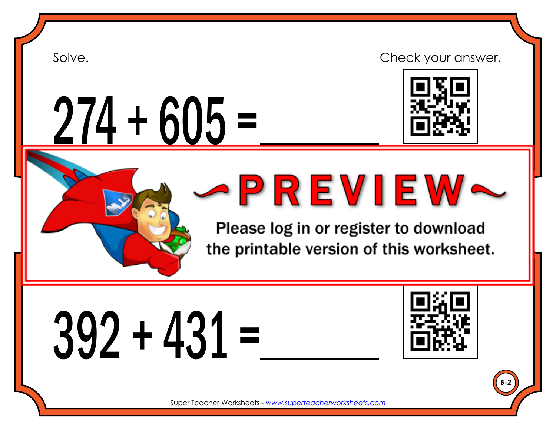### $274 + 605 =$



Super Teacher Worksheets - *www.superteacherworksheets.com*

Please log in or register to download the printable version of this worksheet.

392 + 431 =

**B-2**

Super Teacher Worksheets - *www.superteacherworksheets.com*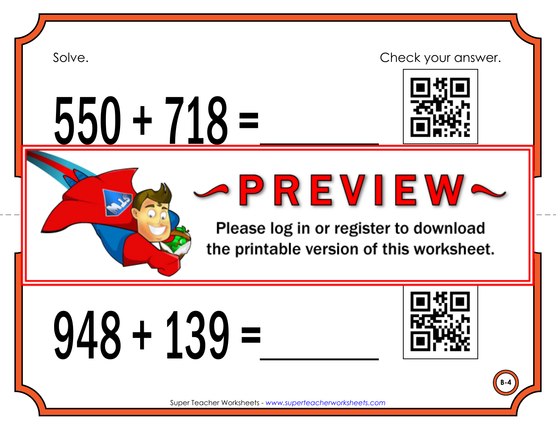550 + 718 =

Solve. Solve and the contract of the check your answer.



Super Teacher Worksheets - *www.superteacherworksheets.com*

Please log in or register to download the printable version of this worksheet.

 $948 + 139 =$ 



**B-4**

Super Teacher Worksheets - *www.superteacherworksheets.com*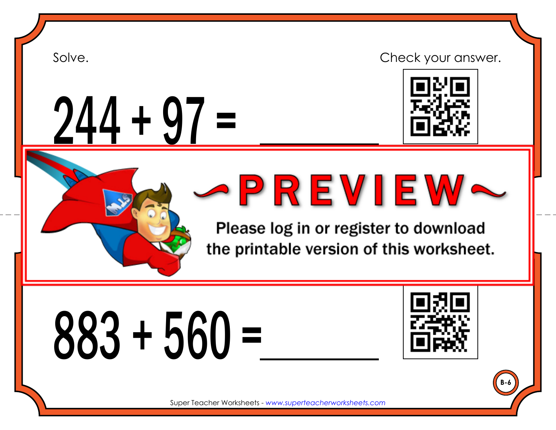

Super Teacher Worksheets - *www.superteacherworksheets.com*

Please log in or register to download the printable version of this worksheet.

883 + 560 =

244 + 97 =



**B-6**

Super Teacher Worksheets - *www.superteacherworksheets.com*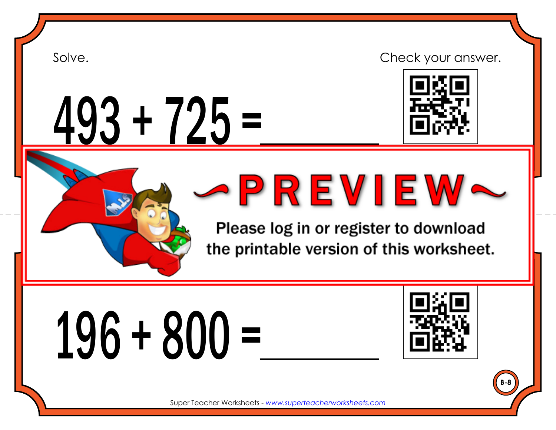493 + 725 =



Super Teacher Worksheets - *www.superteacherworksheets.com*

Please log in or register to download the printable version of this worksheet.

196 + 800 =



**B-8**

Super Teacher Worksheets - *www.superteacherworksheets.com*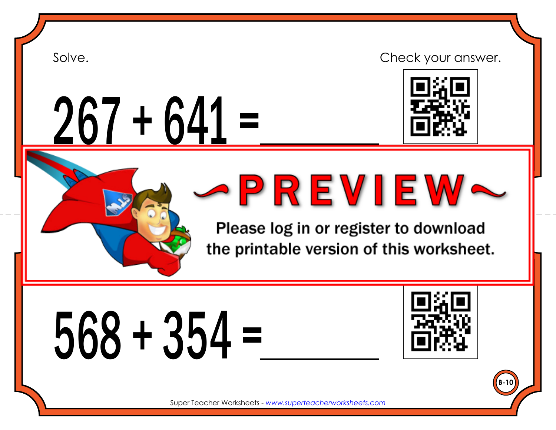

# $267 + 641 =$



Please log in or register to download the printable version of this worksheet.

568 + 354 =



**B-10**

Super Teacher Worksheets - *www.superteacherworksheets.com*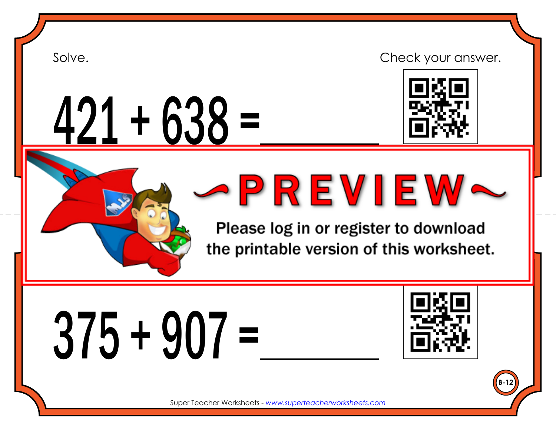### 421 + 638 =



Super Teacher Worksheets - *www.superteacherworksheets.com*

Please log in or register to download the printable version of this worksheet.

 $375 + 907 =$ 



**B-12**

Super Teacher Worksheets - *www.superteacherworksheets.com*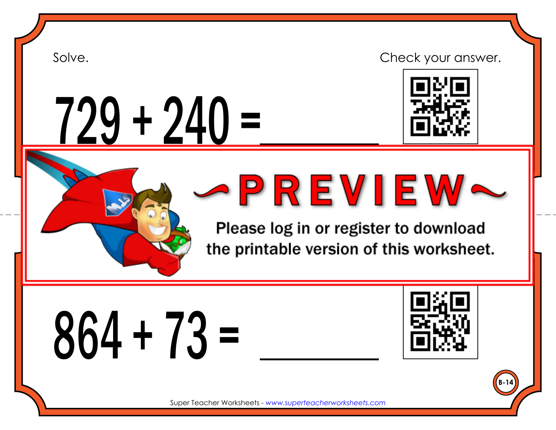729 + 240 =





Super Teacher Worksheets - *www.superteacherworksheets.com*

Please log in or register to download the printable version of this worksheet.

864 + 73 =



**B-14**

Super Teacher Worksheets - *www.superteacherworksheets.com*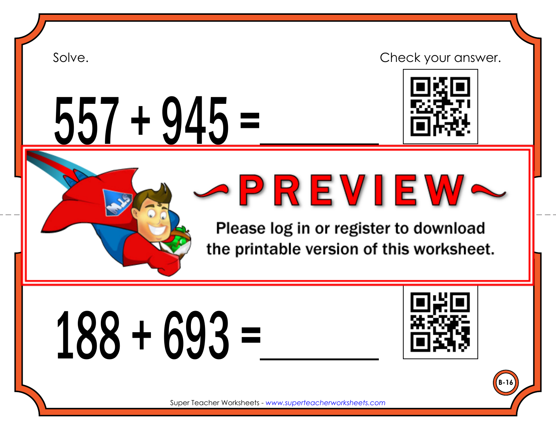# $557 + 945 =$



Super Teacher Worksheets - *www.superteacherworksheets.com*

Please log in or register to download the printable version of this worksheet.

### 188 + 693 =



**B-16**

Super Teacher Worksheets - *www.superteacherworksheets.com*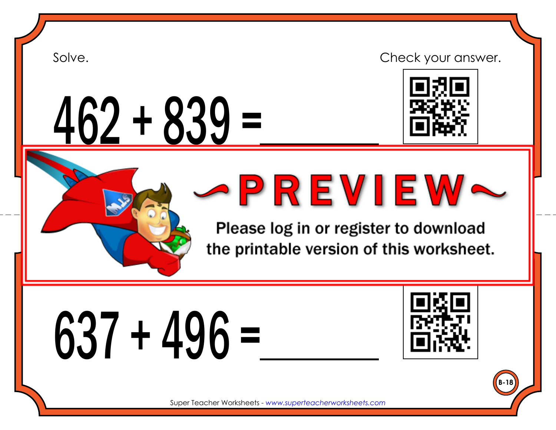# 462 + 839 =



Super Teacher Worksheets - *www.superteacherworksheets.com*

Please log in or register to download the printable version of this worksheet.

#### 637 + 496 =



**B-18**

Super Teacher Worksheets - *www.superteacherworksheets.com*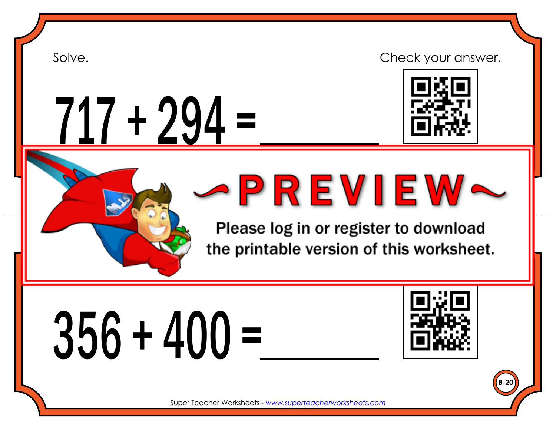717 + 294 =





Please log in or register to download the printable version of this worksheet.

 $356 + 400 =$ 



**B-20**

Super Teacher Worksheets - *www.superteacherworksheets.com*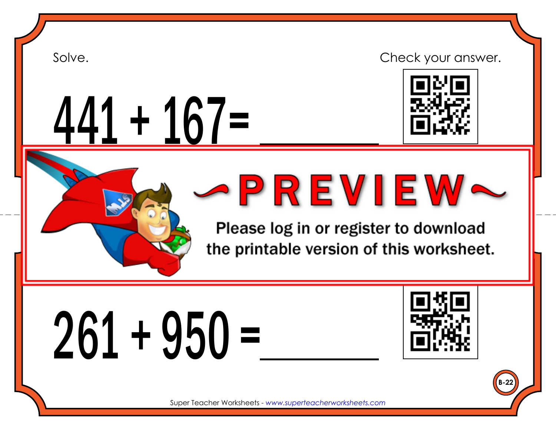Super Teacher Worksheets - *www.superteacherworksheets.com*

Please log in or register to download the printable version of this worksheet.

261 + 950 =

441 + 167=

**B-22**

Super Teacher Worksheets - *www.superteacherworksheets.com*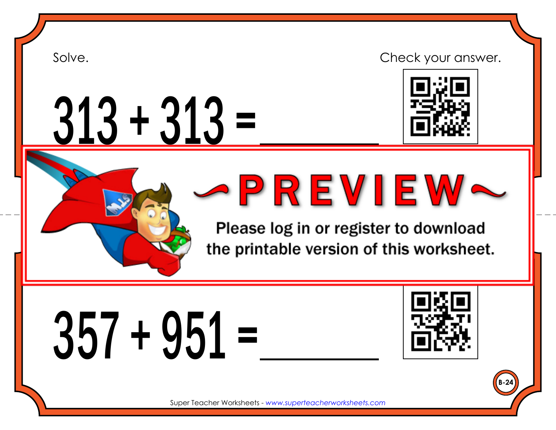313 + 313 =

Solve. Solve and the contract of the check your answer.



Super Teacher Worksheets - *www.superteacherworksheets.com*

Please log in or register to download the printable version of this worksheet.

 $357 + 951 =$ 



**B-24**

Super Teacher Worksheets - *www.superteacherworksheets.com*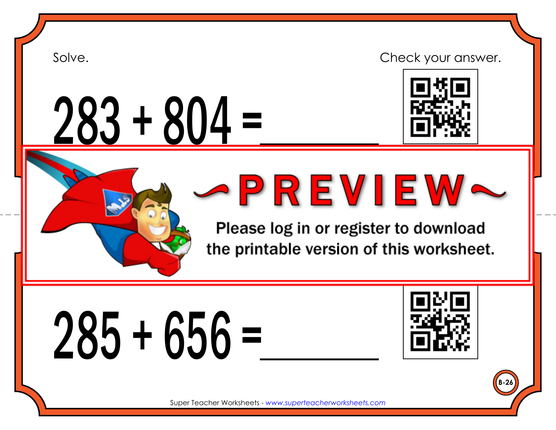283 + 804 =





Super Teacher Worksheets - *www.superteacherworksheets.com*

Please log in or register to download the printable version of this worksheet.

285 + 656 =



**B-26**

Super Teacher Worksheets - *www.superteacherworksheets.com*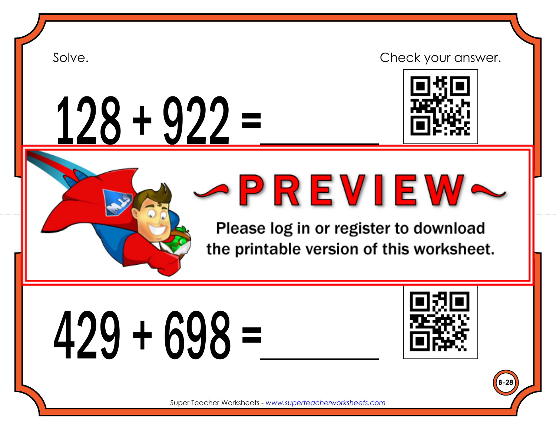128 + 922 =





Please log in or register to download the printable version of this worksheet.

429 + 698 =



**B-28**

Super Teacher Worksheets - *www.superteacherworksheets.com*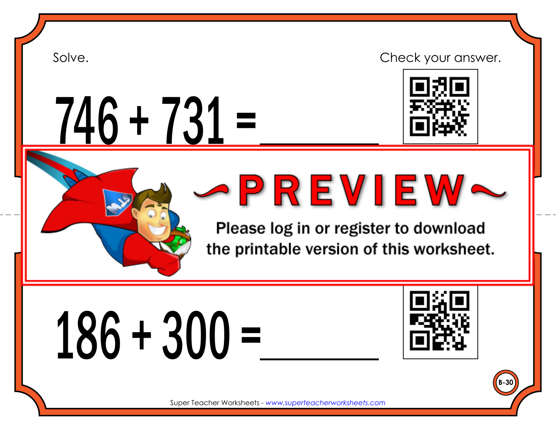746 + 731 =







Please log in or register to download the printable version of this worksheet.

186 + 300 =



**B-30**

Super Teacher Worksheets - *www.superteacherworksheets.com*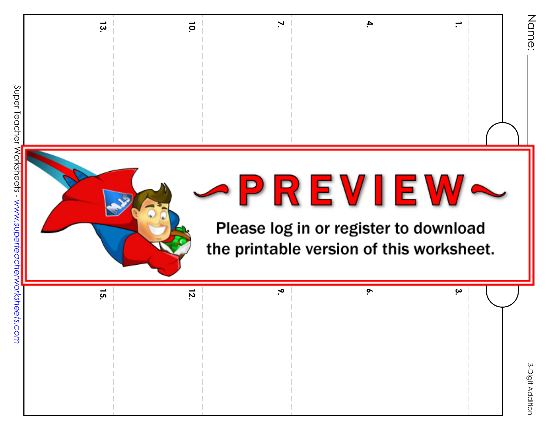